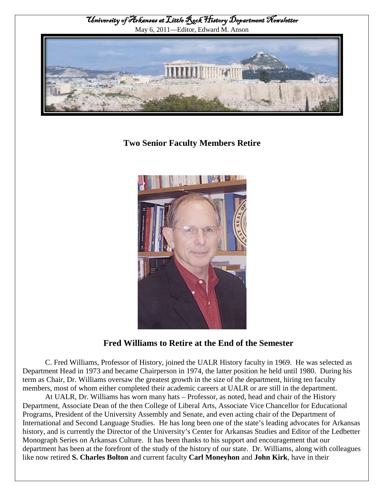

 **Two Senior Faculty Members Retire**



### **Fred Williams to Retire at the End of the Semester**

C. Fred Williams, Professor of History, joined the UALR History faculty in 1969. He was selected as Department Head in 1973 and became Chairperson in 1974, the latter position he held until 1980. During his term as Chair, Dr. Williams oversaw the greatest growth in the size of the department, hiring ten faculty members, most of whom either completed their academic careers at UALR or are still in the department.

At UALR, Dr. Williams has worn many hats – Professor, as noted, head and chair of the History Department, Associate Dean of the then College of Liberal Arts, Associate Vice Chancellor for Educational Programs, President of the University Assembly and Senate, and even acting chair of the Department of International and Second Language Studies. He has long been one of the state's leading advocates for Arkansas history, and is currently the Director of the University's Center for Arkansas Studies and Editor of the Ledbetter Monograph Series on Arkansas Culture. It has been thanks to his support and encouragement that our department has been at the forefront of the study of the history of our state. Dr. Williams, along with colleagues like now retired **S. Charles Bolton** and current faculty **Carl Moneyhon** and **John Kirk**, have in their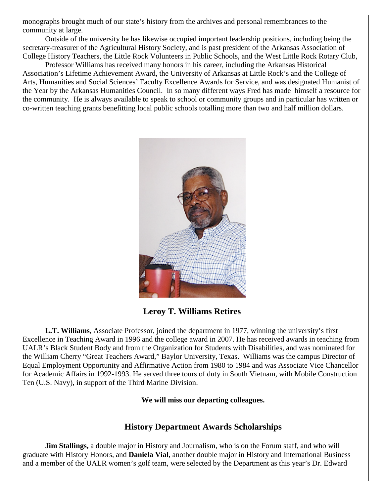monographs brought much of our state's history from the archives and personal remembrances to the community at large.

Outside of the university he has likewise occupied important leadership positions, including being the secretary-treasurer of the Agricultural History Society, and is past president of the Arkansas Association of College History Teachers, the Little Rock Volunteers in Public Schools, and the West Little Rock Rotary Club,

Professor Williams has received many honors in his career, including the Arkansas Historical Association's Lifetime Achievement Award, the University of Arkansas at Little Rock's and the College of Arts, Humanities and Social Sciences' Faculty Excellence Awards for Service, and was designated Humanist of the Year by the Arkansas Humanities Council. In so many different ways Fred has made himself a resource for the community. He is always available to speak to school or community groups and in particular has written or co-written teaching grants benefitting local public schools totalling more than two and half million dollars.



 **Leroy T. Williams Retires** 

**L.T. Williams**, Associate Professor, joined the department in 1977, winning the university's first Excellence in Teaching Award in 1996 and the college award in 2007. He has received awards in teaching from UALR's Black Student Body and from the Organization for Students with Disabilities, and was nominated for the William Cherry "Great Teachers Award," Baylor University, Texas. Williams was the campus Director of Equal Employment Opportunity and Affirmative Action from 1980 to 1984 and was Associate Vice Chancellor for Academic Affairs in 1992-1993. He served three tours of duty in South Vietnam, with Mobile Construction Ten (U.S. Navy), in support of the Third Marine Division.

**We will miss our departing colleagues.**

# **History Department Awards Scholarships**

**Jim Stallings,** a double major in History and Journalism, who is on the Forum staff, and who will graduate with History Honors, and **Daniela Vial**, another double major in History and International Business and a member of the UALR women's golf team, were selected by the Department as this year's Dr. Edward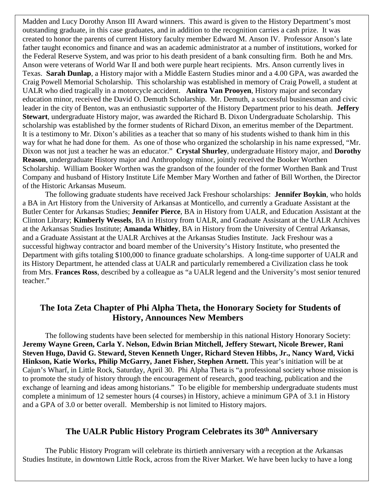Madden and Lucy Dorothy Anson III Award winners. This award is given to the History Department's most outstanding graduate, in this case graduates, and in addition to the recognition carries a cash prize. It was created to honor the parents of current History faculty member Edward M. Anson IV. Professor Anson's late father taught economics and finance and was an academic administrator at a number of institutions, worked for the Federal Reserve System, and was prior to his death president of a bank consulting firm. Both he and Mrs. Anson were veterans of World War II and both were purple heart recipients. Mrs. Anson currently lives in Texas. **Sarah Dunlap**, a History major with a Middle Eastern Studies minor and a 4.00 GPA, was awarded the Craig Powell Memorial Scholarship. This scholarship was established in memory of Craig Powell, a student at UALR who died tragically in a motorcycle accident. **Anitra Van Prooyen**, History major and secondary education minor, received the David O. Demuth Scholarship. Mr. Demuth, a successful businessman and civic leader in the city of Benton, was an enthusiastic supporter of the History Department prior to his death. **Jeffery Stewart**, undergraduate History major, was awarded the Richard B. Dixon Undergraduate Scholarship. This scholarship was established by the former students of Richard Dixon, an emeritus member of the Department. It is a testimony to Mr. Dixon's abilities as a teacher that so many of his students wished to thank him in this way for what he had done for them. As one of those who organized the scholarship in his name expressed, "Mr. Dixon was not just a teacher he was an educator." **Crystal Shurley**, undergraduate History major, and **Dorothy Reason**, undergraduate History major and Anthropology minor, jointly received the Booker Worthen Scholarship. William Booker Worthen was the grandson of the founder of the former Worthen Bank and Trust Company and husband of History Institute Life Member Mary Worthen and father of Bill Worthen, the Director of the Historic Arkansas Museum.

The following graduate students have received Jack Freshour scholarships: **Jennifer Boykin**, who holds a BA in Art History from the University of Arkansas at Monticello, and currently a Graduate Assistant at the Butler Center for Arkansas Studies; **Jennifer Pierce**, BA in History from UALR, and Education Assistant at the Clinton Library; **Kimberly Wessels**, BA in History from UALR, and Graduate Assistant at the UALR Archives at the Arkansas Studies Institute; **Amanda Whitley**, BA in History from the University of Central Arkansas, and a Graduate Assistant at the UALR Archives at the Arkansas Studies Institute. Jack Freshour was a successful highway contractor and board member of the University's History Institute, who presented the Department with gifts totaling \$100,000 to finance graduate scholarships. A long-time supporter of UALR and its History Department, he attended class at UALR and particularly remembered a Civilization class he took from Mrs. **Frances Ross**, described by a colleague as "a UALR legend and the University's most senior tenured teacher."

## **The Iota Zeta Chapter of Phi Alpha Theta, the Honorary Society for Students of History, Announces New Members**

The following students have been selected for membership in this national History Honorary Society: **Jeremy Wayne Green, Carla Y. Nelson, Edwin Brian Mitchell, Jeffery Stewart, Nicole Brewer, Rani Steven Hugo, David G. Steward, Steven Kenneth Unger, Richard Steven Hibbs, Jr., Nancy Ward, Vicki Hinkson, Katie Works, Philip McGarry, Janet Fisher, Stephen Arnett.** This year's initiation will be at Cajun's Wharf, in Little Rock, Saturday, April 30. Phi Alpha Theta is "a professional society whose mission is to promote the study of history through the encouragement of research, good teaching, publication and the exchange of learning and ideas among historians." To be eligible for membership undergraduate students must complete a minimum of 12 semester hours (4 courses) in History, achieve a minimum GPA of 3.1 in History and a GPA of 3.0 or better overall. Membership is not limited to History majors.

# **The UALR Public History Program Celebrates its 30th Anniversary**

The Public History Program will celebrate its thirtieth anniversary with a reception at the Arkansas Studies Institute, in downtown Little Rock, across from the River Market. We have been lucky to have a long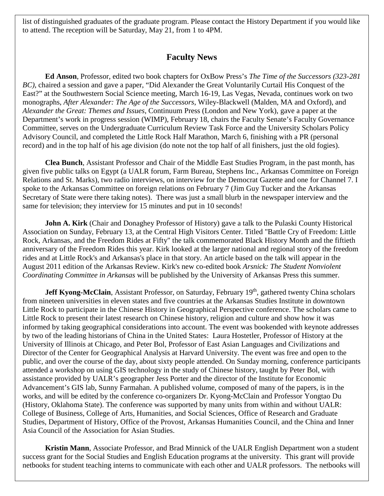list of distinguished graduates of the graduate program. Please contact the History Department if you would like to attend. The reception will be Saturday, May 21, from 1 to 4PM.

### **Faculty News**

**Ed Anson**, Professor, edited two book chapters for OxBow Press's *The Time of the Successors (323-281 BC)*, chaired a session and gave a paper, "Did Alexander the Great Voluntarily Curtail His Conquest of the East?" at the Southwestern Social Science meeting, March 16-19, Las Vegas, Nevada, continues work on two monographs, *After Alexander: The Age of the Successors*, Wiley-Blackwell (Malden, MA and Oxford), and *Alexander the Great: Themes and Issues*, Continuum Press (London and New York), gave a paper at the Department's work in progress session (WIMP), February 18, chairs the Faculty Senate's Faculty Governance Committee, serves on the Undergraduate Curriculum Review Task Force and the University Scholars Policy Advisory Council, and completed the Little Rock Half Marathon, March 6, finishing with a PR (personal record) and in the top half of his age division (do note not the top half of all finishers, just the old fogies).

**Clea Bunch**, Assistant Professor and Chair of the Middle East Studies Program, in the past month, has given five public talks on Egypt (a UALR forum, Farm Bureau, Stephens Inc., Arkansas Committee on Foreign Relations and St. Marks), two radio interviews, on interview for the Democrat Gazette and one for Channel 7. I spoke to the Arkansas Committee on foreign relations on February 7 (Jim Guy Tucker and the Arkansas Secretary of State were there taking notes). There was just a small blurb in the newspaper interview and the same for television; they interview for 15 minutes and put in 10 seconds!

**John A. Kirk** (Chair and Donaghey Professor of History) gave a talk to the Pulaski County Historical Association on Sunday, February 13, at the Central High Visitors Center. Titled "Battle Cry of Freedom: Little Rock, Arkansas, and the Freedom Rides at Fifty" the talk commemorated Black History Month and the fiftieth anniversary of the Freedom Rides this year. Kirk looked at the larger national and regional story of the freedom rides and at Little Rock's and Arkansas's place in that story. An article based on the talk will appear in the August 2011 edition of the Arkansas Review. Kirk's new co-edited book *Arsnick: The Student Nonviolent Coordinating Committee in Arkansas* will be published by the University of Arkansas Press this summer.

**Jeff Kyong-McClain**, Assistant Professor, on Saturday, February 19<sup>th</sup>, gathered twenty China scholars from nineteen universities in eleven states and five countries at the Arkansas Studies Institute in downtown Little Rock to participate in the Chinese History in Geographical Perspective conference. The scholars came to Little Rock to present their latest research on Chinese history, religion and culture and show how it was informed by taking geographical considerations into account. The event was bookended with keynote addresses by two of the leading historians of China in the United States: Laura Hostetler, Professor of History at the University of Illinois at Chicago, and Peter Bol, Professor of East Asian Languages and Civilizations and Director of the Center for Geographical Analysis at Harvard University. The event was free and open to the public, and over the course of the day, about sixty people attended. On Sunday morning, conference participants attended a workshop on using GIS technology in the study of Chinese history, taught by Peter Bol, with assistance provided by UALR's geographer Jess Porter and the director of the Institute for Economic Advancement's GIS lab, Sunny Farmahan. A published volume, composed of many of the papers, is in the works, and will be edited by the conference co-organizers Dr. Kyong-McClain and Professor Yongtao Du (History, Oklahoma State). The conference was supported by many units from within and without UALR: College of Business, College of Arts, Humanities, and Social Sciences, Office of Research and Graduate Studies, Department of History, Office of the Provost, Arkansas Humanities Council, and the China and Inner Asia Council of the Association for Asian Studies.

**Kristin Mann**, Associate Professor, and Brad Minnick of the UALR English Department won a student success grant for the Social Studies and English Education programs at the university. This grant will provide netbooks for student teaching interns to communicate with each other and UALR professors. The netbooks will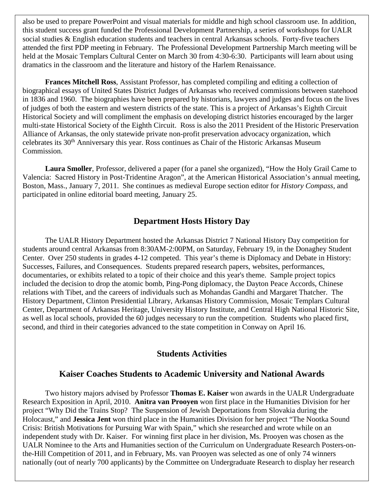also be used to prepare PowerPoint and visual materials for middle and high school classroom use. In addition, this student success grant funded the Professional Development Partnership, a series of workshops for UALR social studies & English education students and teachers in central Arkansas schools. Forty-five teachers attended the first PDP meeting in February. The Professional Development Partnership March meeting will be held at the Mosaic Templars Cultural Center on March 30 from 4:30-6:30. Participants will learn about using dramatics in the classroom and the literature and history of the Harlem Renaissance.

**Frances Mitchell Ross**, Assistant Professor, has completed compiling and editing a collection of biographical essays of United States District Judges of Arkansas who received commissions between statehood in 1836 and 1960. The biographies have been prepared by historians, lawyers and judges and focus on the lives of judges of both the eastern and western districts of the state. This is a project of Arkansas's Eighth Circuit Historical Society and will compliment the emphasis on developing district histories encouraged by the larger multi-state Historical Society of the Eighth Circuit. Ross is also the 2011 President of the Historic Preservation Alliance of Arkansas, the only statewide private non-profit preservation advocacy organization, which celebrates its 30th Anniversary this year. Ross continues as Chair of the Historic Arkansas Museum Commission.

**Laura Smoller**, Professor, delivered a paper (for a panel she organized), "How the Holy Grail Came to Valencia: Sacred History in Post-Tridentine Aragon", at the American Historical Association's annual meeting, Boston, Mass., January 7, 2011. She continues as medieval Europe section editor for *History Compass,* and participated in online editorial board meeting, January 25.

### **Department Hosts History Day**

The UALR History Department hosted the Arkansas District 7 National History Day competition for students around central Arkansas from 8:30AM-2:00PM, on Saturday, February 19, in the Donaghey Student Center. Over 250 students in grades 4-12 competed. This year's theme is Diplomacy and Debate in History: Successes, Failures, and Consequences. Students prepared research papers, websites, performances, documentaries, or exhibits related to a topic of their choice and this year's theme. Sample project topics included the decision to drop the atomic bomb, Ping-Pong diplomacy, the Dayton Peace Accords, Chinese relations with Tibet, and the careers of individuals such as Mohandas Gandhi and Margaret Thatcher. The History Department, Clinton Presidential Library, Arkansas History Commission, Mosaic Templars Cultural Center, Department of Arkansas Heritage, University History Institute, and Central High National Historic Site, as well as local schools, provided the 60 judges necessary to run the competition. Students who placed first, second, and third in their categories advanced to the state competition in Conway on April 16.

#### **Students Activities**

#### **Kaiser Coaches Students to Academic University and National Awards**

Two history majors advised by Professor **Thomas E. Kaiser** won awards in the UALR Undergraduate Research Exposition in April, 2010. **Anitra van Prooyen** won first place in the Humanities Division for her project "Why Did the Trains Stop? The Suspension of Jewish Deportations from Slovakia during the Holocaust," and **Jessica Jent** won third place in the Humanities Division for her project "The Nootka Sound Crisis: British Motivations for Pursuing War with Spain," which she researched and wrote while on an independent study with Dr. Kaiser. For winning first place in her division, Ms. Prooyen was chosen as the UALR Nominee to the Arts and Humanities section of the Curriculum on Undergraduate Research Posters-onthe-Hill Competition of 2011, and in February, Ms. van Prooyen was selected as one of only 74 winners nationally (out of nearly 700 applicants) by the Committee on Undergraduate Research to display her research